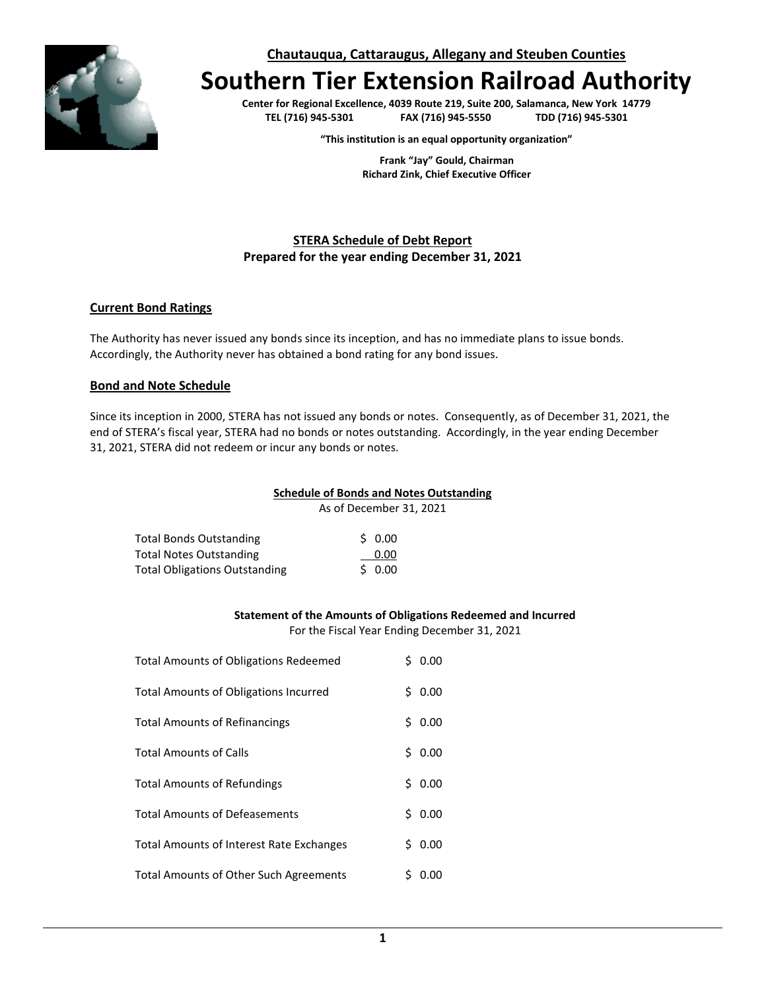

**Chautauqua, Cattaraugus, Allegany and Steuben Counties**

# **Southern Tier Extension Railroad Authority**

**Center for Regional Excellence, 4039 Route 219, Suite 200, Salamanca, New York 14779 TEL (716) 945-5301 FAX (716) 945-5550 TDD (716) 945-5301**

**"This institution is an equal opportunity organization"**

**Frank "Jay" Gould, Chairman Richard Zink, Chief Executive Officer**

# **STERA Schedule of Debt Report Prepared for the year ending December 31, 2021**

## **Current Bond Ratings**

The Authority has never issued any bonds since its inception, and has no immediate plans to issue bonds. Accordingly, the Authority never has obtained a bond rating for any bond issues.

### **Bond and Note Schedule**

Since its inception in 2000, STERA has not issued any bonds or notes. Consequently, as of December 31, 2021, the end of STERA's fiscal year, STERA had no bonds or notes outstanding. Accordingly, in the year ending December 31, 2021, STERA did not redeem or incur any bonds or notes.

#### **Schedule of Bonds and Notes Outstanding**

As of December 31, 2021

| Total Bonds Outstanding              | 50.00  |
|--------------------------------------|--------|
| Total Notes Outstanding              | 0.00   |
| <b>Total Obligations Outstanding</b> | \$0.00 |

#### **Statement of the Amounts of Obligations Redeemed and Incurred**

For the Fiscal Year Ending December 31, 2021

| <b>Total Amounts of Obligations Redeemed</b> | Ś. | 0.00 |
|----------------------------------------------|----|------|
| <b>Total Amounts of Obligations Incurred</b> | Ś. | 0.00 |
| <b>Total Amounts of Refinancings</b>         | Ś. | 0.00 |
| <b>Total Amounts of Calls</b>                | Ś. | 0.00 |
| <b>Total Amounts of Refundings</b>           | Ś. | 0.00 |
| <b>Total Amounts of Defeasements</b>         | Ś. | 0.00 |
| Total Amounts of Interest Rate Exchanges     | S. | 0.00 |
| Total Amounts of Other Such Agreements       |    | 0.00 |